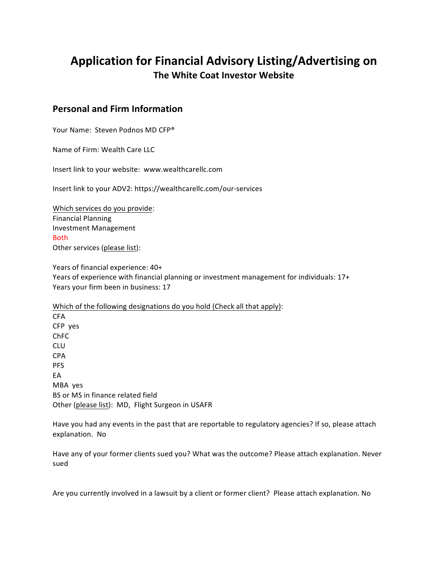# Application for Financial Advisory Listing/Advertising on **The White Coat Investor Website**

### **Personal and Firm Information**

Your Name: Steven Podnos MD CFP®

Name of Firm: Wealth Care LLC

Insert link to your website: www.wealthcarellc.com

Insert link to your ADV2: https://wealthcarellc.com/our-services

Which services do you provide: Financial Planning Investment Management Both Other services (please list):

Years of financial experience: 40+ Years of experience with financial planning or investment management for individuals: 17+ Years your firm been in business: 17

Which of the following designations do you hold (Check all that apply): CFA CFP yes ChFC CLU CPA PFS EA MBA yes BS or MS in finance related field Other (please list): MD, Flight Surgeon in USAFR

Have you had any events in the past that are reportable to regulatory agencies? If so, please attach explanation. No

Have any of your former clients sued you? What was the outcome? Please attach explanation. Never sued

Are you currently involved in a lawsuit by a client or former client? Please attach explanation. No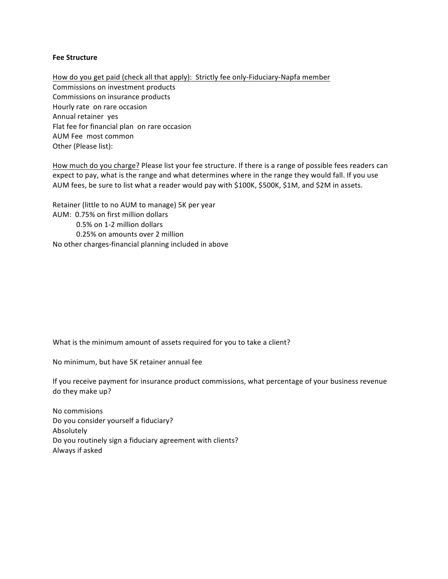#### **Fee Structure**

How do you get paid (check all that apply): Strictly fee only-Fiduciary-Napfa member Commissions on investment products Commissions on insurance products Hourly rate on rare occasion Annual retainer yes Flat fee for financial plan on rare occasion AUM Fee most common Other (Please list):

How much do you charge? Please list your fee structure. If there is a range of possible fees readers can expect to pay, what is the range and what determines where in the range they would fall. If you use AUM fees, be sure to list what a reader would pay with \$100K, \$500K, \$1M, and \$2M in assets.

Retainer (little to no AUM to manage) 5K per year AUM: 0.75% on first million dollars 0.5% on 1-2 million dollars 0.25% on amounts over 2 million No other charges-financial planning included in above

What is the minimum amount of assets required for you to take a client?

No minimum, but have 5K retainer annual fee

If you receive payment for insurance product commissions, what percentage of your business revenue do they make up?

No commisions Do you consider yourself a fiduciary? Absolutely Do you routinely sign a fiduciary agreement with clients? Always if asked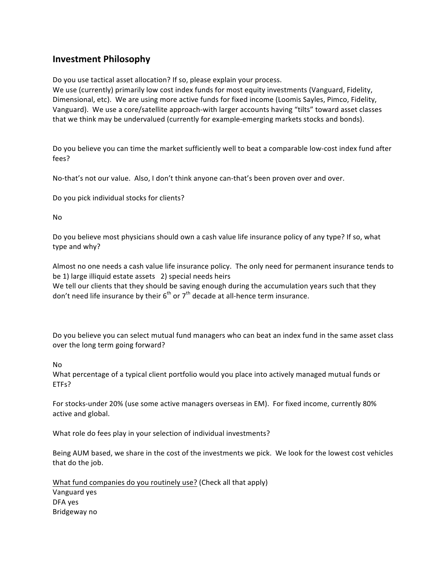## **Investment Philosophy**

Do you use tactical asset allocation? If so, please explain your process.

We use (currently) primarily low cost index funds for most equity investments (Vanguard, Fidelity, Dimensional, etc). We are using more active funds for fixed income (Loomis Sayles, Pimco, Fidelity, Vanguard). We use a core/satellite approach-with larger accounts having "tilts" toward asset classes that we think may be undervalued (currently for example-emerging markets stocks and bonds).

Do you believe you can time the market sufficiently well to beat a comparable low-cost index fund after fees?

No-that's not our value. Also, I don't think anyone can-that's been proven over and over.

Do you pick individual stocks for clients?

No

Do you believe most physicians should own a cash value life insurance policy of any type? If so, what type and why?

Almost no one needs a cash value life insurance policy. The only need for permanent insurance tends to be 1) large illiquid estate assets 2) special needs heirs

We tell our clients that they should be saving enough during the accumulation years such that they don't need life insurance by their  $6^{th}$  or  $7^{th}$  decade at all-hence term insurance.

Do you believe you can select mutual fund managers who can beat an index fund in the same asset class over the long term going forward?

No

What percentage of a typical client portfolio would you place into actively managed mutual funds or ETFs?

For stocks-under 20% (use some active managers overseas in EM). For fixed income, currently 80% active and global.

What role do fees play in your selection of individual investments?

Being AUM based, we share in the cost of the investments we pick. We look for the lowest cost vehicles that do the job.

What fund companies do you routinely use? (Check all that apply) Vanguard yes DFA yes Bridgeway no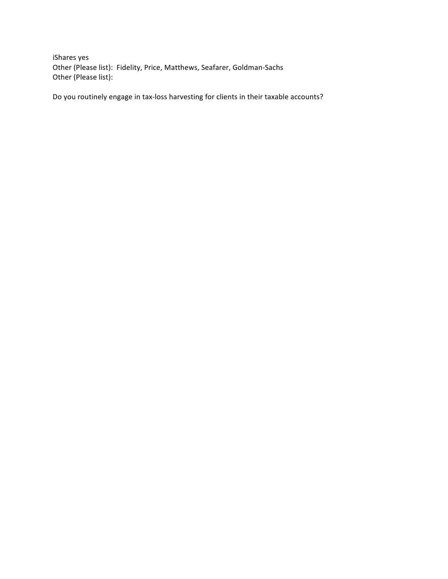iShares yes Other (Please list): Fidelity, Price, Matthews, Seafarer, Goldman-Sachs Other (Please list):

Do you routinely engage in tax-loss harvesting for clients in their taxable accounts?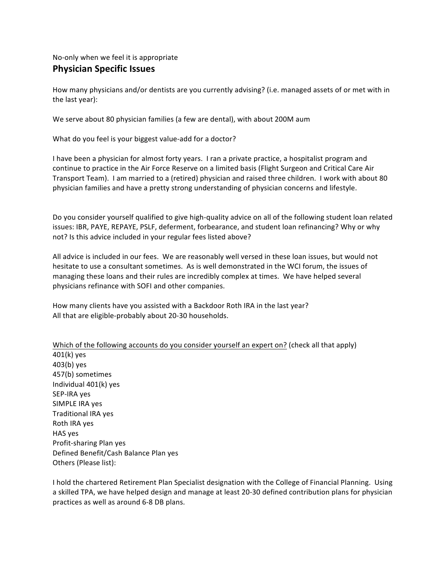# No-only when we feel it is appropriate **Physician Specific Issues**

How many physicians and/or dentists are you currently advising? (i.e. managed assets of or met with in the last year):

We serve about 80 physician families (a few are dental), with about 200M aum

What do you feel is your biggest value-add for a doctor?

I have been a physician for almost forty years. I ran a private practice, a hospitalist program and continue to practice in the Air Force Reserve on a limited basis (Flight Surgeon and Critical Care Air Transport Team). I am married to a (retired) physician and raised three children. I work with about 80 physician families and have a pretty strong understanding of physician concerns and lifestyle.

Do you consider yourself qualified to give high-quality advice on all of the following student loan related issues: IBR, PAYE, REPAYE, PSLF, deferment, forbearance, and student loan refinancing? Why or why not? Is this advice included in your regular fees listed above?

All advice is included in our fees. We are reasonably well versed in these loan issues, but would not hesitate to use a consultant sometimes. As is well demonstrated in the WCI forum, the issues of managing these loans and their rules are incredibly complex at times. We have helped several physicians refinance with SOFI and other companies.

How many clients have you assisted with a Backdoor Roth IRA in the last year? All that are eligible-probably about 20-30 households.

Which of the following accounts do you consider yourself an expert on? (check all that apply) 401(k) yes 403(b) yes 457(b) sometimes Individual  $401(k)$  yes SEP-IRA yes SIMPLE IRA yes Traditional IRA yes Roth IRA yes HAS yes Profit-sharing Plan yes Defined Benefit/Cash Balance Plan yes Others (Please list):

I hold the chartered Retirement Plan Specialist designation with the College of Financial Planning. Using a skilled TPA, we have helped design and manage at least 20-30 defined contribution plans for physician practices as well as around 6-8 DB plans.